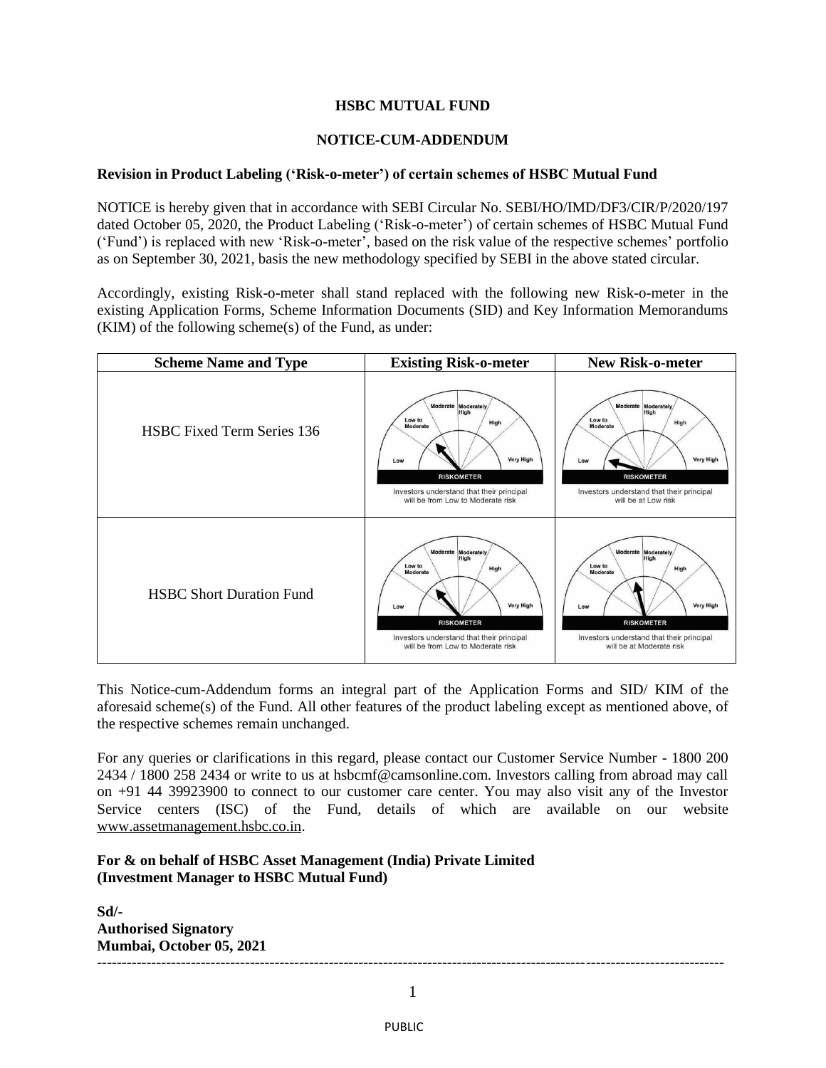## **HSBC MUTUAL FUND**

## **NOTICE-CUM-ADDENDUM**

## **Revision in Product Labeling ('Risk-o-meter') of certain schemes of HSBC Mutual Fund**

NOTICE is hereby given that in accordance with SEBI Circular No. SEBI/HO/IMD/DF3/CIR/P/2020/197 dated October 05, 2020, the Product Labeling ('Risk-o-meter') of certain schemes of HSBC Mutual Fund ('Fund') is replaced with new 'Risk-o-meter', based on the risk value of the respective schemes' portfolio as on September 30, 2021, basis the new methodology specified by SEBI in the above stated circular.

Accordingly, existing Risk-o-meter shall stand replaced with the following new Risk-o-meter in the existing Application Forms, Scheme Information Documents (SID) and Key Information Memorandums (KIM) of the following scheme(s) of the Fund, as under:

| <b>Scheme Name and Type</b>       | <b>Existing Risk-o-meter</b>                                                                                                                                                                | New Risk-o-meter                                                                                                                                                                   |
|-----------------------------------|---------------------------------------------------------------------------------------------------------------------------------------------------------------------------------------------|------------------------------------------------------------------------------------------------------------------------------------------------------------------------------------|
| <b>HSBC Fixed Term Series 136</b> | Moderate Moderately<br>High<br>Low to<br>High<br>Moderate<br><b>Very High</b><br>Low<br><b>RISKOMETER</b><br>Investors understand that their principal<br>will be from Low to Moderate risk | Moderate Moderately<br>High<br>Low to<br>High<br>Moderate<br><b>Very High</b><br>Low<br><b>RISKOMETER</b><br>Investors understand that their principal<br>will be at Low risk      |
| <b>HSBC Short Duration Fund</b>   | Moderate Moderately<br>High<br>Low to<br>High<br>Moderate<br><b>Very High</b><br>Low<br><b>RISKOMETER</b><br>Investors understand that their principal<br>will be from Low to Moderate risk | Moderate Moderately<br>High<br>Low to<br>High<br>Moderate<br><b>Very High</b><br>Low<br><b>RISKOMETER</b><br>Investors understand that their principal<br>will be at Moderate risk |

This Notice-cum-Addendum forms an integral part of the Application Forms and SID/ KIM of the aforesaid scheme(s) of the Fund. All other features of the product labeling except as mentioned above, of the respective schemes remain unchanged.

For any queries or clarifications in this regard, please contact our Customer Service Number - 1800 200 2434 / 1800 258 2434 or write to us at hsbcmf@camsonline.com. Investors calling from abroad may call on +91 44 39923900 to connect to our customer care center. You may also visit any of the Investor Service centers (ISC) of the Fund, details of which are available on our website [www.assetmanagement.hsbc.co.in.](http://www.assetmanagement.hsbc.co.in/)

## **For & on behalf of HSBC Asset Management (India) Private Limited (Investment Manager to HSBC Mutual Fund)**

**Sd/- Authorised Signatory Mumbai, October 05, 2021** -------------------------------------------------------------------------------------------------------------------------------